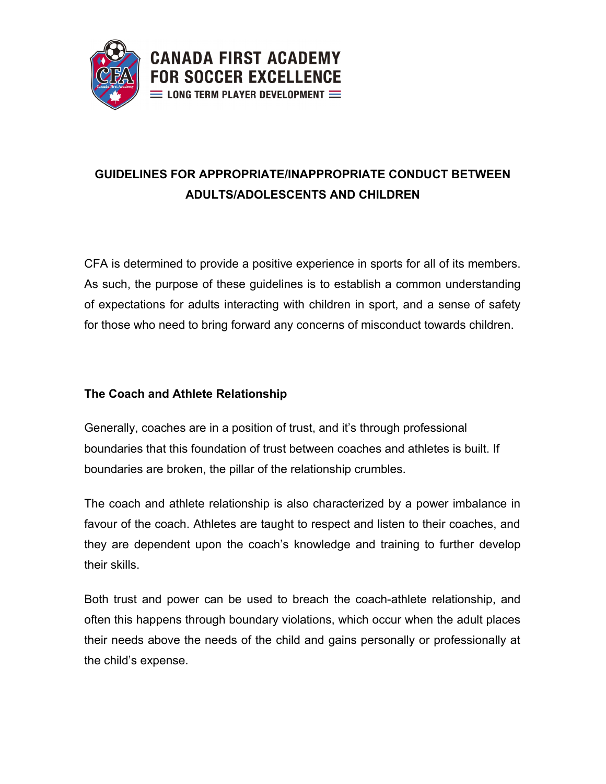

# **GUIDELINES FOR APPROPRIATE/INAPPROPRIATE CONDUCT BETWEEN ADULTS/ADOLESCENTS AND CHILDREN**

CFA is determined to provide a positive experience in sports for all of its members. As such, the purpose of these guidelines is to establish a common understanding of expectations for adults interacting with children in sport, and a sense of safety for those who need to bring forward any concerns of misconduct towards children.

#### **The Coach and Athlete Relationship**

Generally, coaches are in a position of trust, and it's through professional boundaries that this foundation of trust between coaches and athletes is built. If boundaries are broken, the pillar of the relationship crumbles.

The coach and athlete relationship is also characterized by a power imbalance in favour of the coach. Athletes are taught to respect and listen to their coaches, and they are dependent upon the coach's knowledge and training to further develop their skills.

Both trust and power can be used to breach the coach-athlete relationship, and often this happens through boundary violations, which occur when the adult places their needs above the needs of the child and gains personally or professionally at the child's expense.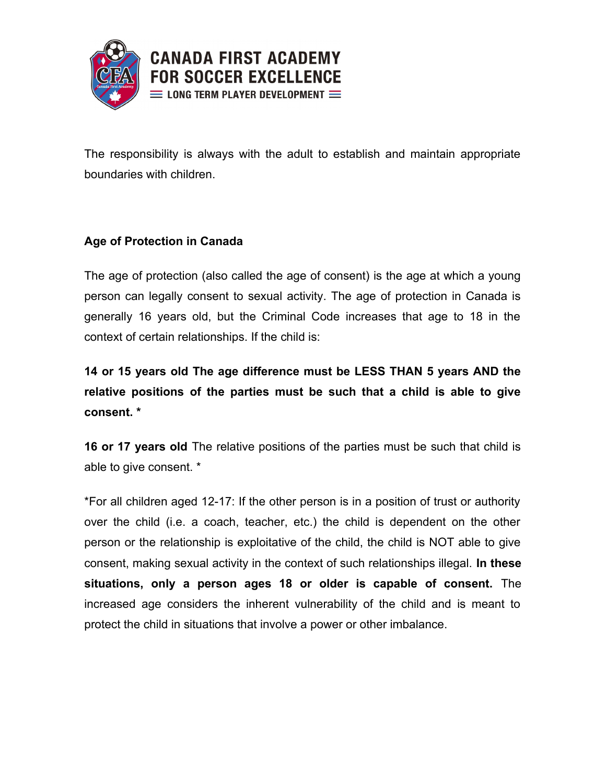

The responsibility is always with the adult to establish and maintain appropriate boundaries with children.

#### **Age of Protection in Canada**

The age of protection (also called the age of consent) is the age at which a young person can legally consent to sexual activity. The age of protection in Canada is generally 16 years old, but the Criminal Code increases that age to 18 in the context of certain relationships. If the child is:

**14 or 15 years old The age difference must be LESS THAN 5 years AND the relative positions of the parties must be such that a child is able to give consent. \*** 

**16 or 17 years old** The relative positions of the parties must be such that child is able to give consent. \*

\*For all children aged 12-17: If the other person is in a position of trust or authority over the child (i.e. a coach, teacher, etc.) the child is dependent on the other person or the relationship is exploitative of the child, the child is NOT able to give consent, making sexual activity in the context of such relationships illegal. **In these situations, only a person ages 18 or older is capable of consent.** The increased age considers the inherent vulnerability of the child and is meant to protect the child in situations that involve a power or other imbalance.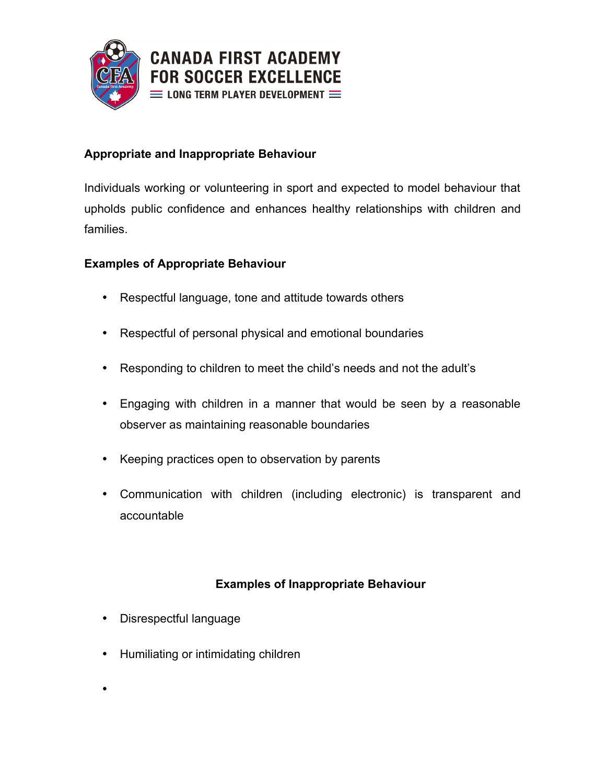

### **Appropriate and Inappropriate Behaviour**

Individuals working or volunteering in sport and expected to model behaviour that upholds public confidence and enhances healthy relationships with children and families.

#### **Examples of Appropriate Behaviour**

- Respectful language, tone and attitude towards others
- Respectful of personal physical and emotional boundaries
- Responding to children to meet the child's needs and not the adult's
- Engaging with children in a manner that would be seen by a reasonable observer as maintaining reasonable boundaries
- Keeping practices open to observation by parents
- Communication with children (including electronic) is transparent and accountable

# **Examples of Inappropriate Behaviour**

- Disrespectful language
- Humiliating or intimidating children
- $\bullet$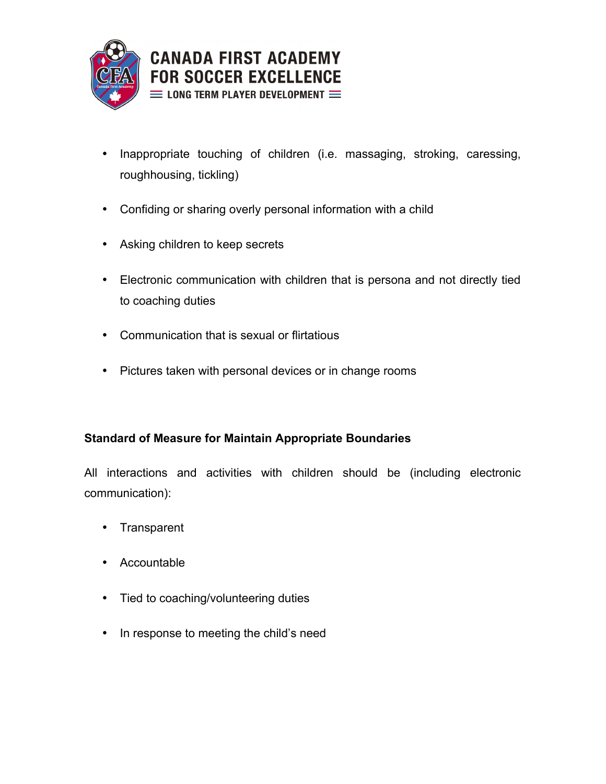

- Inappropriate touching of children (i.e. massaging, stroking, caressing, roughhousing, tickling)
- Confiding or sharing overly personal information with a child
- Asking children to keep secrets
- Electronic communication with children that is persona and not directly tied to coaching duties
- Communication that is sexual or flirtatious
- Pictures taken with personal devices or in change rooms

# **Standard of Measure for Maintain Appropriate Boundaries**

All interactions and activities with children should be (including electronic communication):

- Transparent
- Accountable
- Tied to coaching/volunteering duties
- In response to meeting the child's need